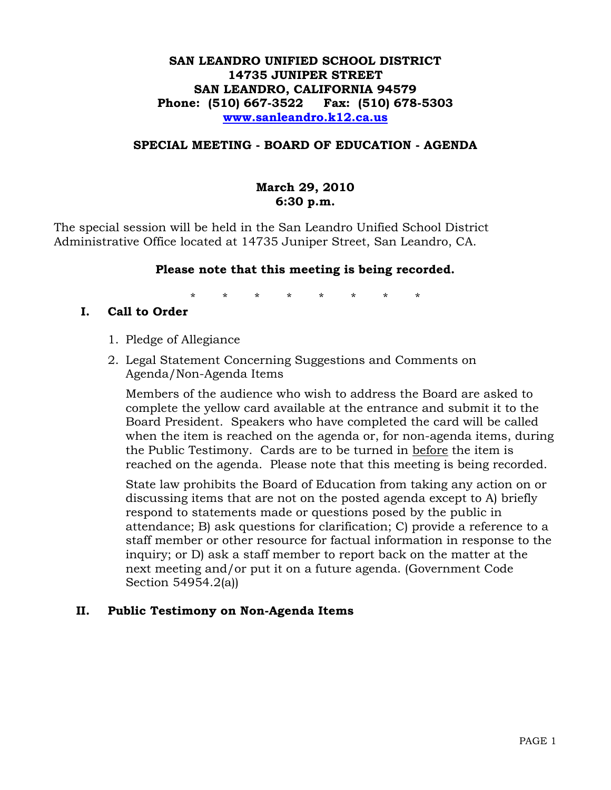#### **SAN LEANDRO UNIFIED SCHOOL DISTRICT 14735 JUNIPER STREET SAN LEANDRO, CALIFORNIA 94579 Phone: (510) 667-3522 Fax: (510) 678-5303 [www.sanleandro.k12.ca.us](http://www.sanleandro.k12.ca.us/)**

#### **SPECIAL MEETING - BOARD OF EDUCATION - AGENDA**

# **March 29, 2010 6:30 p.m.**

The special session will be held in the San Leandro Unified School District Administrative Office located at 14735 Juniper Street, San Leandro, CA.

#### **Please note that this meeting is being recorded.**

\* \* \* \* \* \* \* \*

#### **I. Call to Order**

- 1. Pledge of Allegiance
- 2. Legal Statement Concerning Suggestions and Comments on Agenda/Non-Agenda Items

Members of the audience who wish to address the Board are asked to complete the yellow card available at the entrance and submit it to the Board President. Speakers who have completed the card will be called when the item is reached on the agenda or, for non-agenda items, during the Public Testimony. Cards are to be turned in before the item is reached on the agenda. Please note that this meeting is being recorded.

State law prohibits the Board of Education from taking any action on or discussing items that are not on the posted agenda except to A) briefly respond to statements made or questions posed by the public in attendance; B) ask questions for clarification; C) provide a reference to a staff member or other resource for factual information in response to the inquiry; or D) ask a staff member to report back on the matter at the next meeting and/or put it on a future agenda. (Government Code Section 54954.2(a))

#### **II. Public Testimony on Non-Agenda Items**